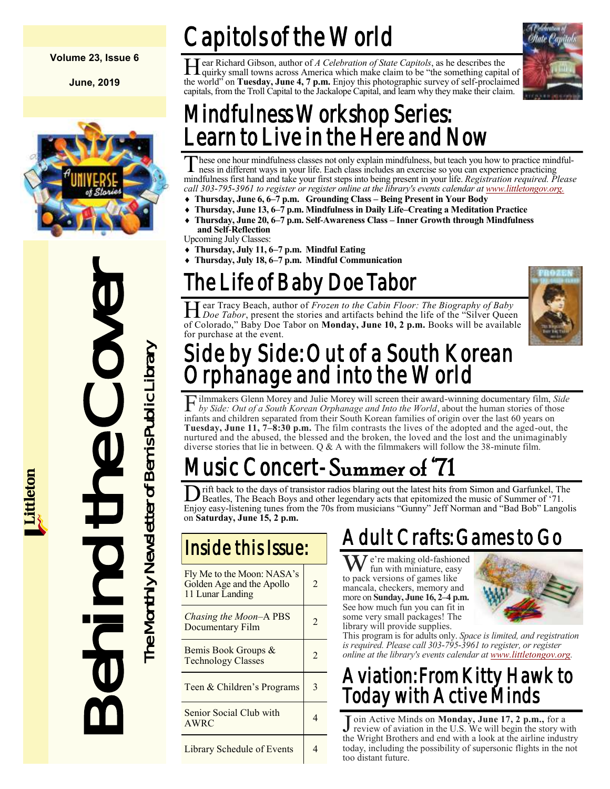### **Volume 23, Issue 6**

**June, 2019**



# Instanting the Monthley Chases<br>
The Life of Bab<br>
Hear Tracy Beach, author of<br>
Increase the store<br>
of Colorado," Baby Dec Taber<br>
Side by Side: (Orphanage all<br>
Flumakers Glem More and the about design Monthley of Bab<br>
The Mo

# Capitols of the World

Hear Richard Gibson, author of A Celebration of State Capitols, as he describes the quirky small towns across America which make claim to be "the something capital of ear Richard Gibson, author of *A Celebration of State Capitols*, as he describes the the world" on **Tuesday, June 4, 7 p.m.** Enjoy this photographic survey of self-proclaimed capitals, from the Troll Capital to the Jackalope Capital, and learn why they make their claim.



### Mindfulness Workshop Series: earn to Live in the Here and Now

These one hour mindfulness classes not only explain mindfulness, but teach you how to practice mindfulness in different ways in your life. Each class includes an exercise so you can experience practicing mindfulness first hese one hour mindfulness classes not only explain mindfulness, but teach you how to practice mindfulness in different ways in your life. Each class includes an exercise so you can experience practicing *call 303-795-3961 to register or register online at the library's events calendar at [www.littletongov.org.](https://www.littletongov.org/city-services/city-departments/bemis-library/library-events-calendar/-curm-6/-cury-2019/-selcat-3)* 

- **Thursday, June 6, 6–7 p.m. Grounding Class – Being Present in Your Body**
- **Thursday, June 13, 6–7 p.m. Mindfulness in Daily Life–Creating a Meditation Practice**
- **Thursday, June 20, 6–7 p.m. Self-Awareness Class – Inner Growth through Mindfulness and Self-Reflection**
- Upcoming July Classes:
- **Thursday, July 11, 6–7 p.m. Mindful Eating**
- **Thursday, July 18, 6–7 p.m. Mindful Communication**

# The Life of Baby Doe Tabor

Hear Tracy Beach, author of *Frozen to the Cabin Floor: The Biography of Baby*<br>*Doe Tabor*, present the stories and artifacts behind the life of the "Silver Queen" ear Tracy Beach, author of *Frozen to the Cabin Floor: The Biography of Baby*  of Colorado," Baby Doe Tabor on **Monday, June 10, 2 p.m.** Books will be available for purchase at the event.



### Side by Side: Out of a South Korean Orphanage and into the World

F ilmmakers Glenn Morey and Julie Morey will screen their award-winning documentary film, Side by Side: Out of a South Korean Orphanage and Into the World, about the human stories of those ilmmakers Glenn Morey and Julie Morey will screen their award-winning documentary film, *Side*  infants and children separated from their South Korean families of origin over the last 60 years on **Tuesday, June 11, 7–8:30 p.m.** The film contrasts the lives of the adopted and the aged-out, the nurtured and the abused, the blessed and the broken, the loved and the lost and the unimaginably diverse stories that lie in between.  $Q \& A$  with the filmmakers will follow the 38-minute film.

## usic Concert-Summer of

D rift back to the days of transistor radios blaring out the latest hits from Simon and Garfunkel, The Beatles, The Beach Boys and other legendary acts that epitomized the music of Summer of '71.<br>Enjoy easy-listening tunes rift back to the days of transistor radios blaring out the latest hits from Simon and Garfunkel, The Beatles, The Beach Boys and other legendary acts that epitomized the music of Summer of '71. on **Saturday, June 15, 2 p.m.**

| Fly Me to the Moon: NASA's<br>Golden Age and the Apollo<br>11 Lunar Landing | 2              |
|-----------------------------------------------------------------------------|----------------|
| Chasing the Moon-A PBS<br>Documentary Film                                  | $\mathfrak{D}$ |
| Bemis Book Groups &<br><b>Technology Classes</b>                            | 2              |
| Teen & Children's Programs                                                  |                |
| Senior Social Club with<br>AWRC                                             |                |
| Library Schedule of Events                                                  |                |

### Adult Crafts: Games to Go

We're making old-fashioned<br>
We're making old-fashioned<br>
the neck vergions of games like to pack versions of games like mancala, checkers, memory and more on **Sunday, June 16, 2–4 p.m.** See how much fun you can fit in some very small packages! The library will provide supplies.



This program is for adults only. *Space is limited, and registration is required. Please call 303-795-3961 to register, or register online at the library's events calendar at [www.littletongov.org.](https://www.littletongov.org/city-services/city-departments/bemis-library/library-events-calendar/-curm-6/-cury-2019/-selcat-3)*

### Aviation: From Kitty Hawk to Today with Active Minds

J oin Active Minds on **Monday, June 17, 2 p.m.,** for a review of aviation in the U.S. We will begin the story with review of aviation in the U.S. We will begin the story with the Wright Brothers and end with a look at the airline industry today, including the possibility of supersonic flights in the not too distant future.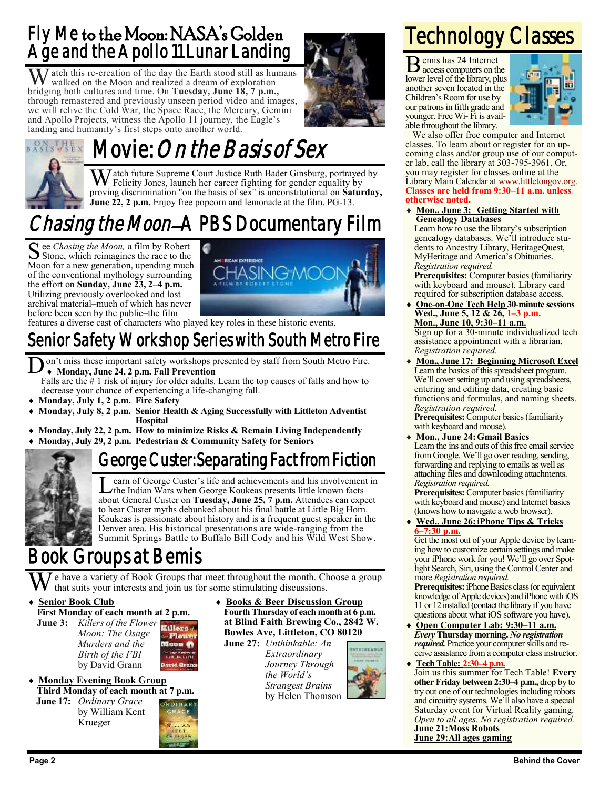### Fly Me to the Moon: NASA's Golden Age and the Apollo 11 Lunar Landing

 $\sum$  atch this re-creation of the day the Earth stood still as humans walked on the Moon and realized a dream of exploration bridging both cultures and time. On **Tuesday, June 18, 7 p.m.,**  through remastered and previously unseen period video and images, we will relive the Cold War, the Space Race, the Mercury, Gemini and Apollo Projects, witness the Apollo 11 journey, the Eagle's landing and humanity's first steps onto another world.



### Movie: On the Basis of Sex  $\sqrt{51}$  X

 $\bar{J}$  atch future Supreme Court Justice Ruth Bader Ginsburg, portrayed by Felicity Jones, launch her career fighting for gender equality by proving discrimination "on the basis of sex" is unconstitutional on **Saturday, June 22, 2 p.m.** Enjoy free popcorn and lemonade at the film. PG-13.

### *Chasing the Moon–*A PBS Documentary Film

See *Chasing the Moon*, a film by Robert<br>Stone, which reimagines the race to the Stone, which reimagines the race to the Moon for a new generation, upending much of the conventional mythology surrounding the effort on **Sunday, June 23, 2–4 p.m.**  Utilizing previously overlooked and lost archival material–much of which has never before been seen by the public–the film



features a diverse cast of characters who played key roles in these historic events.

### Senior Safety Workshop Series with South Metro Fire

 $\overline{\text{D}}$ on't miss these important safety workshops presented by staff from South Metro Fire. **Monday, June 24, 2 p.m. Fall Prevention**

Falls are the # 1 risk of injury for older adults. Learn the top causes of falls and how to decrease your chance of experiencing a life-changing fall.

- **Monday, July 1, 2 p.m. Fire Safety**
- **Monday, July 8, 2 p.m. Senior Health & Aging Successfully with Littleton Adventist Hospital**
- **Monday, July 22, 2 p.m. How to minimize Risks & Remain Living Independently Monday, July 29, 2 p.m. Pedestrian & Community Safety for Seniors**

### George Custer: Separating Fact from Fiction



Learn of George Custer's life and achievements and his involvement the Indian Wars when George Koukeas presents little known facts earn of George Custer's life and achievements and his involvement in about General Custer on **Tuesday, June 25, 7 p.m.** Attendees can expect to hear Custer myths debunked about his final battle at Little Big Horn. Koukeas is passionate about history and is a frequent guest speaker in the Denver area. His historical presentations are wide-ranging from the Summit Springs Battle to Buffalo Bill Cody and his Wild West Show.

### Book Groups at Bemis

e have a variety of Book Groups that meet throughout the month. Choose a group that suits your interests and join us for some stimulating discussions.

- **Senior Book Club First Monday of each month at 2 p.m.**
	- **June 3:** *Killers of the Flower* **Killers** *Moon: The Osage Murders and the* Moon **A** *Birth of the FBI* by David Grann
- **Monday Evening Book Group Third Monday of each month at 7 p.m. June 17:** *Ordinary Grace*

Krueger



 **Books & Beer Discussion Group Fourth Thursday of each month at 6 p.m. at Blind Faith Brewing Co., 2842 W. Bowles Ave, Littleton, CO 80120**

**June 27:** *Unthinkable: An Extraordinary Journey Through the World's Strangest Brains* by Helen Thomson



# Technology Classes

B emis has 24 Internet access computers on the lower level of the library, plus another seven located in the Children's Room for use by our patrons in fifth grade and younger. Free Wi- Fi is available throughout the library.



We also offer free computer and Internet classes. To learn about or register for an upcoming class and/or group use of our computer lab, call the library at 303-795-3961. Or, you may register for classes online at the Library Main Calendar at [www.littletongov.org.](https://www.littletongov.org/city-services/city-departments/bemis-library/library-events-calendar/-selcat-157/-curm-6/-cury-2019) **Classes are held from 9:30–11 a.m. unless otherwise noted.**

 **Mon., June 3: Getting Started with Genealogy Databases**

Learn how to use the library's subscription genealogy databases. We'll introduce students to Ancestry Library, HeritageQuest, MyHeritage and America's Obituaries. *Registration required.*

**Prerequisites:** Computer basics (familiarity with keyboard and mouse). Library card required for subscription database access.

 **One-on-One Tech Help 30-minute sessions Wed., June 5, 12 & 26, 1–3 p.m. Mon., June 10, 9:30–11 a.m.**

Sign up for a 30-minute individualized tech assistance appointment with a librarian. *Registration required.*

 **Mon., June 17: Beginning Microsoft Excel** Learn the basics of this spreadsheet program. We'll cover setting up and using spreadsheets, entering and editing data, creating basic functions and formulas, and naming sheets. *Registration required.*

Prerequisites: Computer basics (familiarity with keyboard and mouse).

 **Mon., June 24:Gmail Basics** Learn the ins and outs of this free email service from Google. We'll go over reading, sending, forwarding and replying to emails as well as attaching files and downloading attachments. *Registration required.*

**Prerequisites:** Computer basics (familiarity with keyboard and mouse) and Internet basics (knows how to navigate a web browser).

 **Wed., June 26:iPhone Tips & Tricks 6–7:30 p.m.**

Get the most out of your Apple device by learning how to customize certain settings and make your iPhone work for you! We'll go over Spotlight Search, Siri, using the Control Center and more *Registration required.*

**Prerequisites:** iPhone Basics class (or equivalent knowledge of Apple devices) and iPhone with iOS 11 or 12 installed (contact the library if you have questions about what iOS software you have).

- **Open Computer Lab: 9:30–11 a.m.** *Every* **Thursday morning.** *No registration required.* Practice your computer skills and receive assistance from a computer class instructor.
- **Tech Table: 2:30–4 p.m.** Join us this summer for Tech Table! **Every other Friday between 2:30–4 p.m.,** drop by to try out one of our technologies including robots and circuitry systems. We'll also have a special Saturday event for Virtual Reality gaming. *Open to all ages. No registration required.* **June 21:Moss Robots June 29:All ages gaming**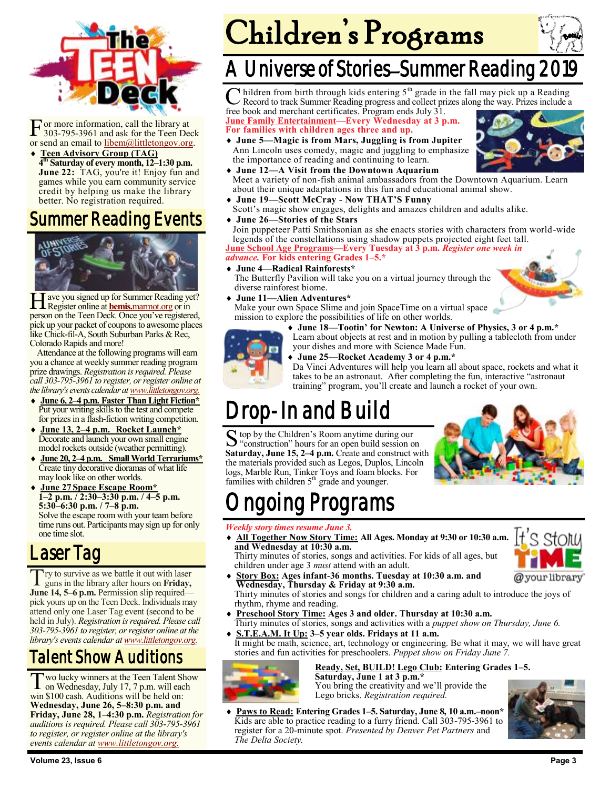

**F** or more information, call the library at 303-795-3961 and ask for the Teen Declor send an email to libem(*a*)littletongov.org. or more information, call the library at 303-795-3961 and ask for the Teen Deck

 **Teen Advisory Group (TAG) 4 th Saturday of every month, 12–1:30 p.m.** June 22: TAG, you're it! Enjoy fun and games while you earn community service credit by helping us make the library better. No registration required.

### Summer Reading Events



H Register online at **bemis.**[marmot.org](https://bemis.marmot.org/) or in ave you signed up for Summer Reading yet? person on the Teen Deck. Once you've registered, pick up your packet of coupons to awesome places like Chick-fil-A, South Suburban Parks & Rec, Colorado Rapids and more!

Attendance at the following programs will earn you a chance at weekly summer reading program prize drawings. *Registration is required. Please call 303-795-3961 to register, or register online at the library's events calendar at [www.littletongov.org.](https://www.littletongov.org/city-services/city-departments/bemis-library/library-events-calendar/-curm-6/-cury-2019/-selcat-97)*

- **June 6, 2–4 p.m. Faster Than Light Fiction\*** Put your writing skills to the test and compete for prizes in a flash-fiction writing competition.
- **June 13, 2–4 p.m. Rocket Launch\*** Decorate and launch your own small engine model rockets outside (weather permitting).
- **June 20, 2–4 p.m. Small World Terrariums\*** Create tiny decorative dioramas of what life may look like on other worlds.
- **June 27 Space Escape Room\* 1–2 p.m. / 2:30–3:30 p.m. / 4–5 p.m. 5:30–6:30 p.m. / 7–8 p.m.** Solve the escape room with your team before time runs out. Participants may sign up for only one time slot.

### Laser Tag

T guns in the library after hours on **Friday,**  Try to survive as we battle it out with laser **June 14, 5–6 p.m.** Permission slip required pick yours up on the Teen Deck. Individuals may attend only one Laser Tag event (second to be held in July). *Registration is required. Please call 303-795-3961 to register, or register online at the library's events calendar at [www.littletongov.org.](https://www.littletongov.org/city-services/city-departments/bemis-library/library-events-calendar/-curm-6/-cury-2019/-selcat-97)*

### Talent Show Auditions

Two lucky winners at the Teen Talent Sho<br>
on Wednesday, July 17, 7 p.m. will each wo lucky winners at the Teen Talent Show win \$100 cash. Auditions will be held on: **Wednesday, June 26, 5–8:30 p.m. and Friday, June 28, 1–4:30 p.m.** *Registration for auditions is required. Please call 303-795-3961 to register, or register online at the library's events calendar at [www.littletongov.org.](https://www.littletongov.org/city-services/city-departments/bemis-library/library-events-calendar/-curm-6/-cury-2019/-selcat-97)*

# Children's Programs



### A Universe of Stories–Summer Reading

C hildren from birth through kids entering 5<sup>th</sup> grade in the fall may pick up a Reading Record to track Summer Reading progress and collect prizes along the way. Prizes include a hildren from birth through kids entering 5<sup>th</sup> grade in the fall may pick up a Reading

free book and merchant certificates. Program ends July 31. **June Family Entertainment—Every Wednesday at 3 p.m. For families with children ages three and up.**

- **June 5—Magic is from Mars, Juggling is from Jupiter** Ann Lincoln uses comedy, magic and juggling to emphasize the importance of reading and continuing to learn.
- **June 12—A Visit from the Downtown Aquarium** Meet a variety of non-fish animal ambassadors from the Downtown Aquarium. Learn about their unique adaptations in this fun and educational animal show.
- **June 19—Scott McCray - Now THAT'S Funny** Scott's magic show engages, delights and amazes children and adults alike.
- **June 26—Stories of the Stars**

Join puppeteer Patti Smithsonian as she enacts stories with characters from world-wide legends of the constellations using shadow puppets projected eight feet tall. **June School Age Programs—Every Tuesday at 3 p.m.** *Register one week in*

### *advance.* **For kids entering Grades 1–5.\***

 **June 4—Radical Rainforests\*** The Butterfly Pavilion will take you on a virtual journey through the diverse rainforest biome.

**June 11—Alien Adventures\***

Make your own Space Slime and join SpaceTime on a virtual space mission to explore the possibilities of life on other worlds.



your dishes and more with Science Made Fun.

**June 25—Rocket Academy 3 or 4 p.m.\***



Da Vinci Adventures will help you learn all about space, rockets and what it takes to be an astronaut. After completing the fun, interactive "astronaut training" program, you'll create and launch a rocket of your own.

## Drop-In and Build

S top by the Children's Room anytime during our<br>"construction" hours for an open build session of "construction" hours for an open build session on **Saturday, June 15, 2–4 p.m.** Create and construct with the materials provided such as Legos, Duplos, Lincoln logs, Marble Run, Tinker Toys and foam blocks. For families with children  $5<sup>th</sup>$  grade and younger.



# ngoing Programs

### *Weekly story times resume June 3.*

 **All Together Now Story Time: All Ages. Monday at 9:30 or 10:30 a.m. and Wednesday at 10:30 a.m.** Thirty minutes of stories, songs and activities. For kids of all ages, but



children under age 3 *must* attend with an adult. **Story Box: Ages infant-36 months. Tuesday at 10:30 a.m. and Wednesday, Thursday & Friday at 9:30 a.m.**

Thirty minutes of stories and songs for children and a caring adult to introduce the joys of rhythm, rhyme and reading.

- **Preschool Story Time: Ages 3 and older. Thursday at 10:30 a.m.** Thirty minutes of stories, songs and activities with a *puppet show on Thursday, June 6.*
- **S.T.E.A.M. It Up: 3–5 year olds. Fridays at 11 a.m.** It might be math, science, art, technology or engineering. Be what it may, we will have great stories and fun activities for preschoolers. *Puppet show on Friday June 7.*



**Ready, Set, BUILD! Lego Club: Entering Grades 1–5. Saturday, June 1 at 3 p.m.\*** You bring the creativity and we'll provide the

Lego bricks. *Registration required.* **Paws to Read: Entering Grades 1–5. Saturday, June 8, 10 a.m.–noon\*** Kids are able to practice reading to a furry friend. Call 303-795-3961 to register for a 20-minute spot. *Presented by Denver Pet Partners* and *The Delta Society.*